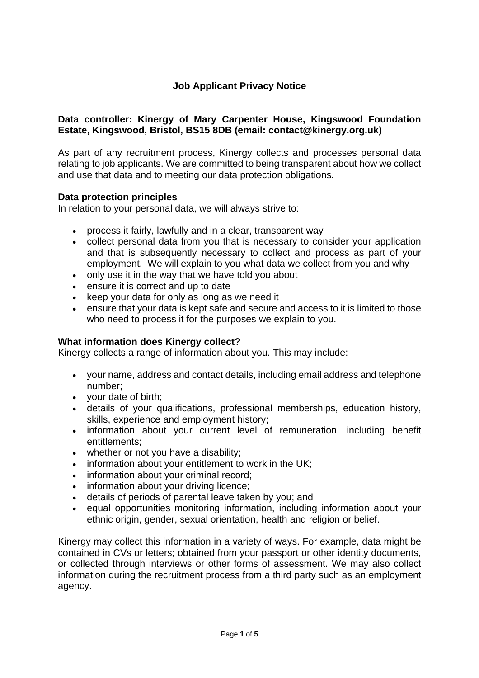# **Job Applicant Privacy Notice**

# **Data controller: Kinergy of Mary Carpenter House, Kingswood Foundation Estate, Kingswood, Bristol, BS15 8DB (email: contact@kinergy.org.uk)**

As part of any recruitment process, Kinergy collects and processes personal data relating to job applicants. We are committed to being transparent about how we collect and use that data and to meeting our data protection obligations.

## **Data protection principles**

In relation to your personal data, we will always strive to:

- process it fairly, lawfully and in a clear, transparent way
- collect personal data from you that is necessary to consider your application and that is subsequently necessary to collect and process as part of your employment. We will explain to you what data we collect from you and why
- only use it in the way that we have told you about
- ensure it is correct and up to date
- keep your data for only as long as we need it
- ensure that your data is kept safe and secure and access to it is limited to those who need to process it for the purposes we explain to you.

## **What information does Kinergy collect?**

Kinergy collects a range of information about you. This may include:

- your name, address and contact details, including email address and telephone number;
- your date of birth;
- details of your qualifications, professional memberships, education history, skills, experience and employment history;
- information about your current level of remuneration, including benefit entitlements;
- whether or not you have a disability;
- information about your entitlement to work in the UK;
- information about your criminal record;
- information about your driving licence;
- details of periods of parental leave taken by you; and
- equal opportunities monitoring information, including information about your ethnic origin, gender, sexual orientation, health and religion or belief.

Kinergy may collect this information in a variety of ways. For example, data might be contained in CVs or letters; obtained from your passport or other identity documents, or collected through interviews or other forms of assessment. We may also collect information during the recruitment process from a third party such as an employment agency.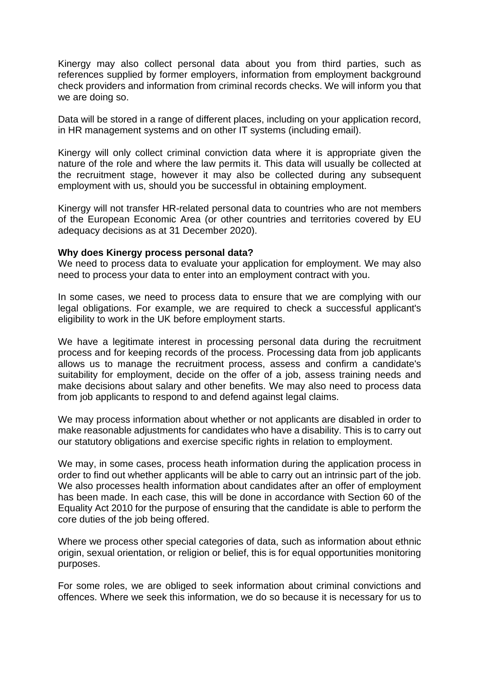Kinergy may also collect personal data about you from third parties, such as references supplied by former employers, information from employment background check providers and information from criminal records checks. We will inform you that we are doing so.

Data will be stored in a range of different places, including on your application record, in HR management systems and on other IT systems (including email).

Kinergy will only collect criminal conviction data where it is appropriate given the nature of the role and where the law permits it. This data will usually be collected at the recruitment stage, however it may also be collected during any subsequent employment with us, should you be successful in obtaining employment.

Kinergy will not transfer HR-related personal data to countries who are not members of the European Economic Area (or other countries and territories covered by EU adequacy decisions as at 31 December 2020).

### **Why does Kinergy process personal data?**

We need to process data to evaluate your application for employment. We may also need to process your data to enter into an employment contract with you.

In some cases, we need to process data to ensure that we are complying with our legal obligations. For example, we are required to check a successful applicant's eligibility to work in the UK before employment starts.

We have a legitimate interest in processing personal data during the recruitment process and for keeping records of the process. Processing data from job applicants allows us to manage the recruitment process, assess and confirm a candidate's suitability for employment, decide on the offer of a job, assess training needs and make decisions about salary and other benefits. We may also need to process data from job applicants to respond to and defend against legal claims.

We may process information about whether or not applicants are disabled in order to make reasonable adjustments for candidates who have a disability. This is to carry out our statutory obligations and exercise specific rights in relation to employment.

We may, in some cases, process heath information during the application process in order to find out whether applicants will be able to carry out an intrinsic part of the job. We also processes health information about candidates after an offer of employment has been made. In each case, this will be done in accordance with Section 60 of the Equality Act 2010 for the purpose of ensuring that the candidate is able to perform the core duties of the job being offered.

Where we process other special categories of data, such as information about ethnic origin, sexual orientation, or religion or belief, this is for equal opportunities monitoring purposes.

For some roles, we are obliged to seek information about criminal convictions and offences. Where we seek this information, we do so because it is necessary for us to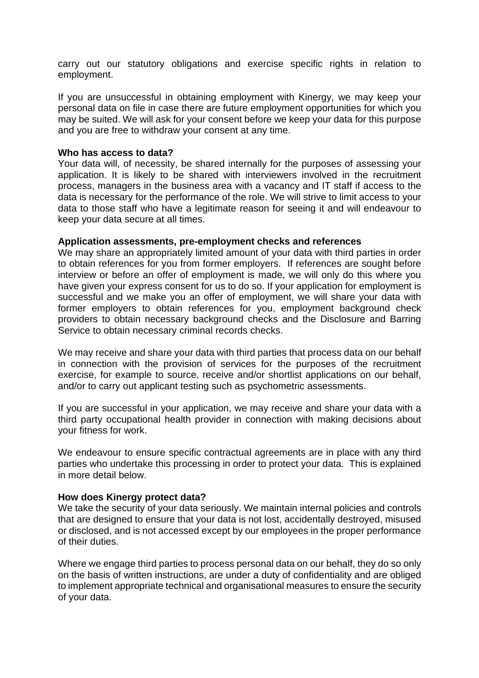carry out our statutory obligations and exercise specific rights in relation to employment.

If you are unsuccessful in obtaining employment with Kinergy, we may keep your personal data on file in case there are future employment opportunities for which you may be suited. We will ask for your consent before we keep your data for this purpose and you are free to withdraw your consent at any time.

### **Who has access to data?**

Your data will, of necessity, be shared internally for the purposes of assessing your application. It is likely to be shared with interviewers involved in the recruitment process, managers in the business area with a vacancy and IT staff if access to the data is necessary for the performance of the role. We will strive to limit access to your data to those staff who have a legitimate reason for seeing it and will endeavour to keep your data secure at all times.

### **Application assessments, pre-employment checks and references**

We may share an appropriately limited amount of your data with third parties in order to obtain references for you from former employers. If references are sought before interview or before an offer of employment is made, we will only do this where you have given your express consent for us to do so. If your application for employment is successful and we make you an offer of employment, we will share your data with former employers to obtain references for you, employment background check providers to obtain necessary background checks and the Disclosure and Barring Service to obtain necessary criminal records checks.

We may receive and share your data with third parties that process data on our behalf in connection with the provision of services for the purposes of the recruitment exercise, for example to source, receive and/or shortlist applications on our behalf, and/or to carry out applicant testing such as psychometric assessments.

If you are successful in your application, we may receive and share your data with a third party occupational health provider in connection with making decisions about your fitness for work.

We endeavour to ensure specific contractual agreements are in place with any third parties who undertake this processing in order to protect your data. This is explained in more detail below.

### **How does Kinergy protect data?**

We take the security of your data seriously. We maintain internal policies and controls that are designed to ensure that your data is not lost, accidentally destroyed, misused or disclosed, and is not accessed except by our employees in the proper performance of their duties.

Where we engage third parties to process personal data on our behalf, they do so only on the basis of written instructions, are under a duty of confidentiality and are obliged to implement appropriate technical and organisational measures to ensure the security of your data.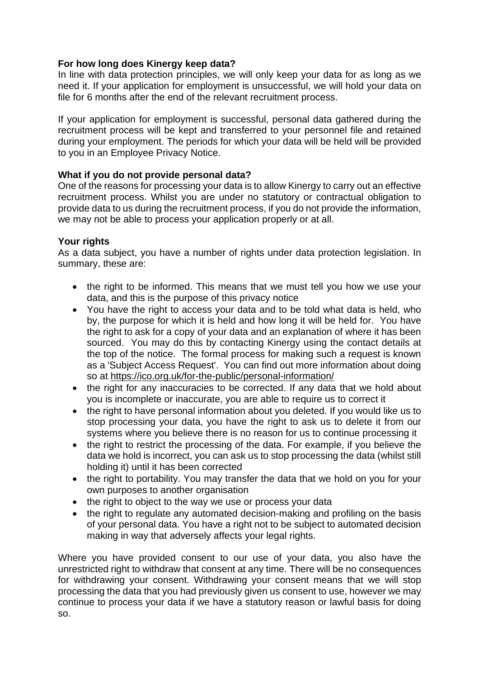# **For how long does Kinergy keep data?**

In line with data protection principles, we will only keep your data for as long as we need it. If your application for employment is unsuccessful, we will hold your data on file for 6 months after the end of the relevant recruitment process.

If your application for employment is successful, personal data gathered during the recruitment process will be kept and transferred to your personnel file and retained during your employment. The periods for which your data will be held will be provided to you in an Employee Privacy Notice.

# **What if you do not provide personal data?**

One of the reasons for processing your data is to allow Kinergy to carry out an effective recruitment process. Whilst you are under no statutory or contractual obligation to provide data to us during the recruitment process, if you do not provide the information, we may not be able to process your application properly or at all.

## **Your rights**

As a data subject, you have a number of rights under data protection legislation. In summary, these are:

- the right to be informed. This means that we must tell you how we use your data, and this is the purpose of this privacy notice
- You have the right to access your data and to be told what data is held, who by, the purpose for which it is held and how long it will be held for. You have the right to ask for a copy of your data and an explanation of where it has been sourced. You may do this by contacting Kinergy using the contact details at the top of the notice. The formal process for making such a request is known as a 'Subject Access Request'. You can find out more information about doing so at <https://ico.org.uk/for-the-public/personal-information/>
- the right for any inaccuracies to be corrected. If any data that we hold about you is incomplete or inaccurate, you are able to require us to correct it
- the right to have personal information about you deleted. If you would like us to stop processing your data, you have the right to ask us to delete it from our systems where you believe there is no reason for us to continue processing it
- the right to restrict the processing of the data. For example, if you believe the data we hold is incorrect, you can ask us to stop processing the data (whilst still holding it) until it has been corrected
- the right to portability. You may transfer the data that we hold on you for your own purposes to another organisation
- the right to object to the way we use or process your data
- the right to regulate any automated decision-making and profiling on the basis of your personal data. You have a right not to be subject to automated decision making in way that adversely affects your legal rights.

Where you have provided consent to our use of your data, you also have the unrestricted right to withdraw that consent at any time. There will be no consequences for withdrawing your consent. Withdrawing your consent means that we will stop processing the data that you had previously given us consent to use, however we may continue to process your data if we have a statutory reason or lawful basis for doing so.